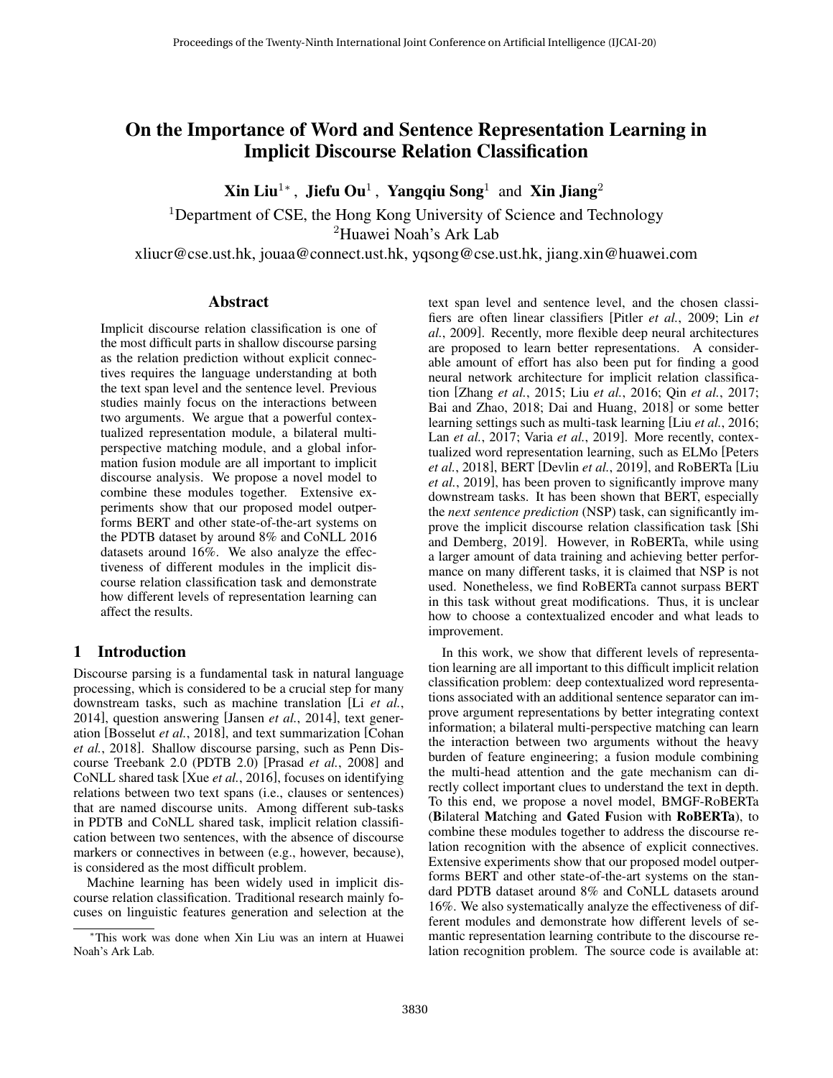# On the Importance of Word and Sentence Representation Learning in Implicit Discourse Relation Classification

Xin Liu<sup>1</sup>\*, Jiefu Ou<sup>1</sup>, Yangqiu Song<sup>1</sup> and Xin Jiang<sup>2</sup>

<sup>1</sup>Department of CSE, the Hong Kong University of Science and Technology <sup>2</sup>Huawei Noah's Ark Lab

xliucr@cse.ust.hk, jouaa@connect.ust.hk, yqsong@cse.ust.hk, jiang.xin@huawei.com

# Abstract

Implicit discourse relation classification is one of the most difficult parts in shallow discourse parsing as the relation prediction without explicit connectives requires the language understanding at both the text span level and the sentence level. Previous studies mainly focus on the interactions between two arguments. We argue that a powerful contextualized representation module, a bilateral multiperspective matching module, and a global information fusion module are all important to implicit discourse analysis. We propose a novel model to combine these modules together. Extensive experiments show that our proposed model outperforms BERT and other state-of-the-art systems on the PDTB dataset by around 8% and CoNLL 2016 datasets around 16%. We also analyze the effectiveness of different modules in the implicit discourse relation classification task and demonstrate how different levels of representation learning can affect the results.

### 1 Introduction

Discourse parsing is a fundamental task in natural language processing, which is considered to be a crucial step for many downstream tasks, such as machine translation [Li *[et al.](#page-6-0)*, [2014\]](#page-6-0), question answering [\[Jansen](#page-6-1) *et al.*, 2014], text generation [\[Bosselut](#page-6-2) *et al.*, 2018], and text summarization [\[Cohan](#page-6-3) *et al.*[, 2018\]](#page-6-3). Shallow discourse parsing, such as Penn Discourse Treebank 2.0 (PDTB 2.0) [\[Prasad](#page-6-4) *et al.*, 2008] and CoNLL shared task [Xue *et al.*[, 2016\]](#page-6-5), focuses on identifying relations between two text spans (i.e., clauses or sentences) that are named discourse units. Among different sub-tasks in PDTB and CoNLL shared task, implicit relation classification between two sentences, with the absence of discourse markers or connectives in between (e.g., however, because), is considered as the most difficult problem.

Machine learning has been widely used in implicit discourse relation classification. Traditional research mainly focuses on linguistic features generation and selection at the text span level and sentence level, and the chosen classifiers are often linear classifiers [Pitler *et al.*[, 2009;](#page-6-6) [Lin](#page-6-7) *et al.*[, 2009\]](#page-6-7). Recently, more flexible deep neural architectures are proposed to learn better representations. A considerable amount of effort has also been put for finding a good neural network architecture for implicit relation classification [\[Zhang](#page-6-8) *et al.*, 2015; Liu *et al.*[, 2016;](#page-6-9) Qin *et al.*[, 2017;](#page-6-10) [Bai and Zhao, 2018;](#page-6-11) [Dai and Huang, 2018\]](#page-6-12) or some better learning settings such as multi-task learning [Liu *et al.*[, 2016;](#page-6-9) Lan *et al.*[, 2017;](#page-6-13) Varia *et al.*[, 2019\]](#page-6-14). More recently, contextualized word representation learning, such as ELMo [\[Peters](#page-6-15) *et al.*[, 2018\]](#page-6-15), BERT [\[Devlin](#page-6-16) *et al.*, 2019], and RoBERTa [\[Liu](#page-6-17) *et al.*[, 2019\]](#page-6-17), has been proven to significantly improve many downstream tasks. It has been shown that BERT, especially the *next sentence prediction* (NSP) task, can significantly improve the implicit discourse relation classification task [\[Shi](#page-6-18) [and Demberg, 2019\]](#page-6-18). However, in RoBERTa, while using a larger amount of data training and achieving better performance on many different tasks, it is claimed that NSP is not used. Nonetheless, we find RoBERTa cannot surpass BERT in this task without great modifications. Thus, it is unclear how to choose a contextualized encoder and what leads to improvement.

In this work, we show that different levels of representation learning are all important to this difficult implicit relation classification problem: deep contextualized word representations associated with an additional sentence separator can improve argument representations by better integrating context information; a bilateral multi-perspective matching can learn the interaction between two arguments without the heavy burden of feature engineering; a fusion module combining the multi-head attention and the gate mechanism can directly collect important clues to understand the text in depth. To this end, we propose a novel model, BMGF-RoBERTa (Bilateral Matching and Gated Fusion with RoBERTa), to combine these modules together to address the discourse relation recognition with the absence of explicit connectives. Extensive experiments show that our proposed model outperforms BERT and other state-of-the-art systems on the standard PDTB dataset around 8% and CoNLL datasets around 16%. We also systematically analyze the effectiveness of different modules and demonstrate how different levels of semantic representation learning contribute to the discourse relation recognition problem. The source code is available at:

<sup>∗</sup>This work was done when Xin Liu was an intern at Huawei Noah's Ark Lab.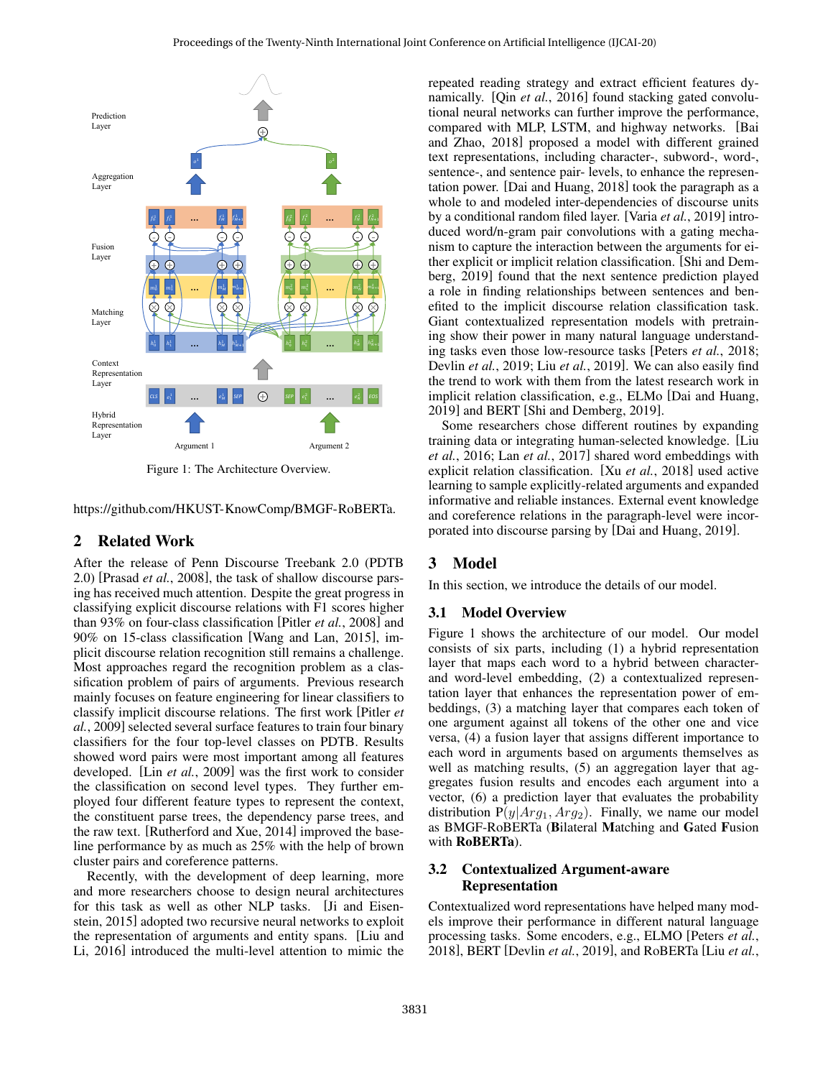<span id="page-1-0"></span>

Figure 1: The Architecture Overview.

[https://github.com/HKUST-KnowComp/BMGF-RoBERTa.](https://github.com/HKUST-KnowComp/BMGF-RoBERTa)

# 2 Related Work

After the release of Penn Discourse Treebank 2.0 (PDTB 2.0) [\[Prasad](#page-6-4) *et al.*, 2008], the task of shallow discourse parsing has received much attention. Despite the great progress in classifying explicit discourse relations with F1 scores higher than 93% on four-class classification [Pitler *et al.*[, 2008\]](#page-6-19) and 90% on 15-class classification [\[Wang and Lan, 2015\]](#page-6-20), implicit discourse relation recognition still remains a challenge. Most approaches regard the recognition problem as a classification problem of pairs of arguments. Previous research mainly focuses on feature engineering for linear classifiers to classify implicit discourse relations. The first work [\[Pitler](#page-6-6) *et al.*[, 2009\]](#page-6-6) selected several surface features to train four binary classifiers for the four top-level classes on PDTB. Results showed word pairs were most important among all features developed. [Lin *et al.*[, 2009\]](#page-6-7) was the first work to consider the classification on second level types. They further employed four different feature types to represent the context, the constituent parse trees, the dependency parse trees, and the raw text. [\[Rutherford and Xue, 2014\]](#page-6-21) improved the baseline performance by as much as 25% with the help of brown cluster pairs and coreference patterns.

Recently, with the development of deep learning, more and more researchers choose to design neural architectures for this task as well as other NLP tasks. [\[Ji and Eisen](#page-6-22)[stein, 2015\]](#page-6-22) adopted two recursive neural networks to exploit the representation of arguments and entity spans. [\[Liu and](#page-6-23) [Li, 2016\]](#page-6-23) introduced the multi-level attention to mimic the repeated reading strategy and extract efficient features dynamically. [Qin *et al.*[, 2016\]](#page-6-24) found stacking gated convolutional neural networks can further improve the performance, compared with MLP, LSTM, and highway networks. [\[Bai](#page-6-11) [and Zhao, 2018\]](#page-6-11) proposed a model with different grained text representations, including character-, subword-, word-, sentence-, and sentence pair- levels, to enhance the representation power. [\[Dai and Huang, 2018\]](#page-6-12) took the paragraph as a whole to and modeled inter-dependencies of discourse units by a conditional random filed layer. [Varia *et al.*[, 2019\]](#page-6-14) introduced word/n-gram pair convolutions with a gating mechanism to capture the interaction between the arguments for either explicit or implicit relation classification. [\[Shi and Dem](#page-6-18)[berg, 2019\]](#page-6-18) found that the next sentence prediction played a role in finding relationships between sentences and benefited to the implicit discourse relation classification task. Giant contextualized representation models with pretraining show their power in many natural language understanding tasks even those low-resource tasks [\[Peters](#page-6-15) *et al.*, 2018; [Devlin](#page-6-16) *et al.*, 2019; Liu *et al.*[, 2019\]](#page-6-17). We can also easily find the trend to work with them from the latest research work in implicit relation classification, e.g., ELMo [\[Dai and Huang,](#page-6-25) [2019\]](#page-6-25) and BERT [\[Shi and Demberg, 2019\]](#page-6-18).

Some researchers chose different routines by expanding training data or integrating human-selected knowledge. [\[Liu](#page-6-9) *et al.*[, 2016;](#page-6-9) Lan *et al.*[, 2017\]](#page-6-13) shared word embeddings with explicit relation classification. [Xu *et al.*[, 2018\]](#page-6-26) used active learning to sample explicitly-related arguments and expanded informative and reliable instances. External event knowledge and coreference relations in the paragraph-level were incorporated into discourse parsing by [\[Dai and Huang, 2019\]](#page-6-25).

# 3 Model

In this section, we introduce the details of our model.

#### 3.1 Model Overview

Figure [1](#page-1-0) shows the architecture of our model. Our model consists of six parts, including (1) a hybrid representation layer that maps each word to a hybrid between characterand word-level embedding, (2) a contextualized representation layer that enhances the representation power of embeddings, (3) a matching layer that compares each token of one argument against all tokens of the other one and vice versa, (4) a fusion layer that assigns different importance to each word in arguments based on arguments themselves as well as matching results,  $(5)$  an aggregation layer that aggregates fusion results and encodes each argument into a vector, (6) a prediction layer that evaluates the probability distribution  $P(y|Arg_1, Arg_2)$ . Finally, we name our model as BMGF-RoBERTa (Bilateral Matching and Gated Fusion with RoBERTa).

# 3.2 Contextualized Argument-aware Representation

Contextualized word representations have helped many models improve their performance in different natural language processing tasks. Some encoders, e.g., ELMO [\[Peters](#page-6-15) *et al.*, [2018\]](#page-6-15), BERT [\[Devlin](#page-6-16) *et al.*, 2019], and RoBERTa [Liu *[et al.](#page-6-17)*,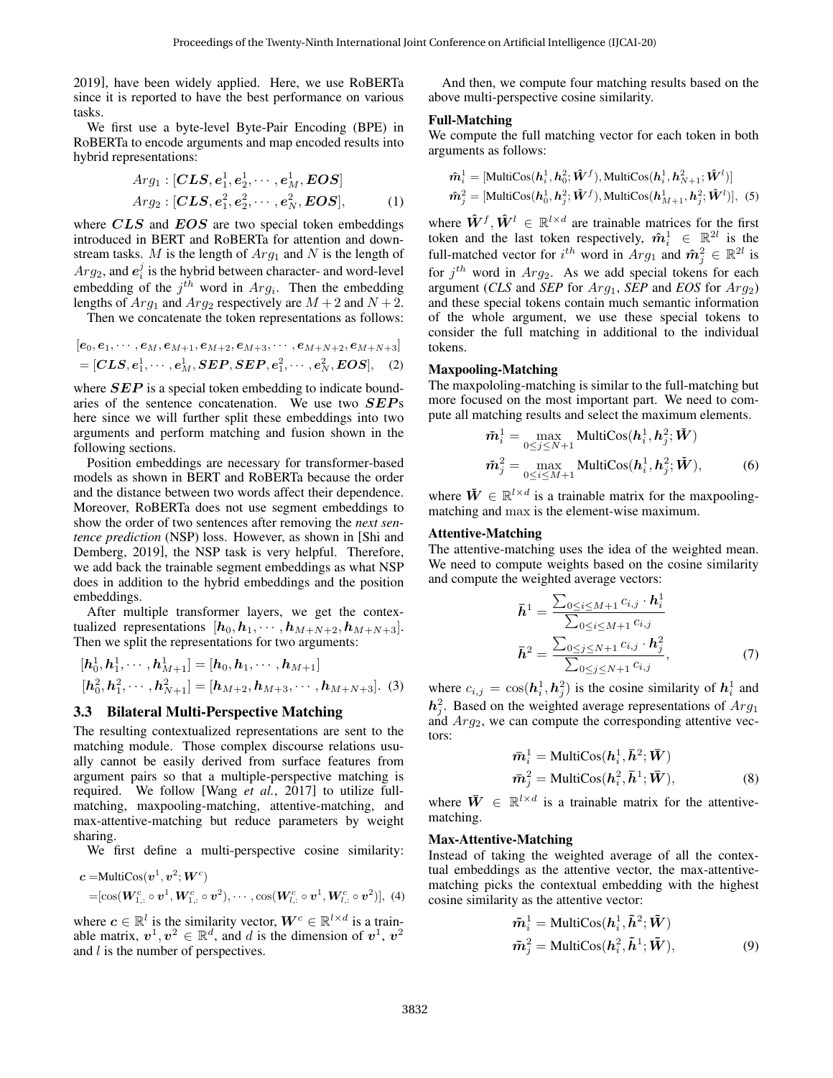[2019\]](#page-6-17), have been widely applied. Here, we use RoBERTa since it is reported to have the best performance on various tasks.

We first use a byte-level Byte-Pair Encoding (BPE) in RoBERTa to encode arguments and map encoded results into hybrid representations:

$$
Arg_1: [\mathbf{CLS}, \mathbf{e}_1^1, \mathbf{e}_2^1, \cdots, \mathbf{e}_M^1, \mathbf{EOS}]
$$
  
\n
$$
Arg_2: [\mathbf{CLS}, \mathbf{e}_1^2, \mathbf{e}_2^2, \cdots, \mathbf{e}_N^2, \mathbf{EOS}],
$$
 (1)

where CLS and EOS are two special token embeddings introduced in BERT and RoBERTa for attention and downstream tasks. M is the length of  $Arg_1$  and N is the length of  $Arg_2$ , and  $e_i^j$  is the hybrid between character- and word-level embedding of the  $j^{th}$  word in  $Arg_i$ . Then the embedding lengths of  $Arg_1$  and  $Arg_2$  respectively are  $M + 2$  and  $N + 2$ .

Then we concatenate the token representations as follows:

$$
[e_0, e_1, \cdots, e_M, e_{M+1}, e_{M+2}, e_{M+3}, \cdots, e_{M+N+2}, e_{M+N+3}]
$$
  
= [CLS, e<sub>1</sub><sup>1</sup>,  $\cdots$ , e<sub>M</sub><sup>1</sup>, **SEP**, **SEP**, e<sub>1</sub><sup>2</sup>,  $\cdots$ , e<sub>N</sub><sup>2</sup>, **EOS**], (2)

where  $SEP$  is a special token embedding to indicate boundaries of the sentence concatenation. We use two SEPs here since we will further split these embeddings into two arguments and perform matching and fusion shown in the following sections.

Position embeddings are necessary for transformer-based models as shown in BERT and RoBERTa because the order and the distance between two words affect their dependence. Moreover, RoBERTa does not use segment embeddings to show the order of two sentences after removing the *next sentence prediction* (NSP) loss. However, as shown in [\[Shi and](#page-6-18) [Demberg, 2019\]](#page-6-18), the NSP task is very helpful. Therefore, we add back the trainable segment embeddings as what NSP does in addition to the hybrid embeddings and the position embeddings.

After multiple transformer layers, we get the contextualized representations  $[h_0, h_1, \cdots, h_{M+N+2}, h_{M+N+3}].$ Then we split the representations for two arguments:

$$
[\mathbf{h}_0^1, \mathbf{h}_1^1, \cdots, \mathbf{h}_{M+1}^1] = [\mathbf{h}_0, \mathbf{h}_1, \cdots, \mathbf{h}_{M+1}]
$$
  

$$
[\mathbf{h}_0^2, \mathbf{h}_1^2, \cdots, \mathbf{h}_{N+1}^2] = [\mathbf{h}_{M+2}, \mathbf{h}_{M+3}, \cdots, \mathbf{h}_{M+N+3}].
$$
 (3)

#### 3.3 Bilateral Multi-Perspective Matching

The resulting contextualized representations are sent to the matching module. Those complex discourse relations usually cannot be easily derived from surface features from argument pairs so that a multiple-perspective matching is required. We follow [Wang *et al.*[, 2017\]](#page-6-27) to utilize fullmatching, maxpooling-matching, attentive-matching, and max-attentive-matching but reduce parameters by weight sharing.

We first define a multi-perspective cosine similarity:

$$
\begin{aligned} \mathbf{c} &= \text{MultiCos}(\mathbf{v}^1, \mathbf{v}^2; \mathbf{W}^c) \\ &= [\cos(\mathbf{W}_{1,:}^c \circ \mathbf{v}^1, \mathbf{W}_{1,:}^c \circ \mathbf{v}^2), \cdots, \cos(\mathbf{W}_{l,:}^c \circ \mathbf{v}^1, \mathbf{W}_{l,:}^c \circ \mathbf{v}^2)], \ (4) \end{aligned}
$$

where  $c \in \mathbb{R}^l$  is the similarity vector,  $W^c \in \mathbb{R}^{l \times d}$  is a trainable matrix,  $v^1, v^2 \in \mathbb{R}^d$ , and d is the dimension of  $v^1, v^2$ and *l* is the number of perspectives.

And then, we compute four matching results based on the above multi-perspective cosine similarity.

#### Full-Matching

We compute the full matching vector for each token in both arguments as follows:

$$
\hat{\boldsymbol{m}}_i^1 = [\text{MultiCos}(\boldsymbol{h}_i^1, \boldsymbol{h}_0^2; \hat{\boldsymbol{W}}^f), \text{MultiCos}(\boldsymbol{h}_i^1, \boldsymbol{h}_{N+1}^2; \hat{\boldsymbol{W}}^I)]
$$
  

$$
\hat{\boldsymbol{m}}_j^2 = [\text{MultiCos}(\boldsymbol{h}_0^1, \boldsymbol{h}_j^2; \hat{\boldsymbol{W}}^f), \text{MultiCos}(\boldsymbol{h}_{M+1}^1, \boldsymbol{h}_j^2; \hat{\boldsymbol{W}}^I)],
$$
 (5)

where  $\hat{W}^f, \hat{W}^l \in \mathbb{R}^{l \times d}$  are trainable matrices for the first token and the last token respectively,  $\hat{m}^1_i \in \mathbb{R}^{2l}$  is the full-matched vector for  $i^{th}$  word in  $Arg_1$  and  $\hat{m}_j^2 \in \mathbb{R}^{2l}$  is for  $j<sup>th</sup>$  word in  $Arg_2$ . As we add special tokens for each argument (*CLS* and *SEP* for  $Arg_1$ , *SEP* and *EOS* for  $Arg_2$ ) and these special tokens contain much semantic information of the whole argument, we use these special tokens to consider the full matching in additional to the individual tokens.

#### Maxpooling-Matching

The maxpololing-matching is similar to the full-matching but more focused on the most important part. We need to compute all matching results and select the maximum elements.

$$
\tilde{\boldsymbol{m}}_i^1 = \max_{0 \le j \le N+1} \text{MultiCos}(\boldsymbol{h}_i^1, \boldsymbol{h}_j^2; \tilde{\boldsymbol{W}})
$$

$$
\tilde{\boldsymbol{m}}_j^2 = \max_{0 \le i \le M+1} \text{MultiCos}(\boldsymbol{h}_i^1, \boldsymbol{h}_j^2; \tilde{\boldsymbol{W}}),
$$
(6)

where  $\check{W} \in \mathbb{R}^{l \times d}$  is a trainable matrix for the maxpoolingmatching and max is the element-wise maximum.

#### Attentive-Matching

The attentive-matching uses the idea of the weighted mean. We need to compute weights based on the cosine similarity and compute the weighted average vectors:

$$
\bar{\mathbf{h}}^{1} = \frac{\sum_{0 \le i \le M+1} c_{i,j} \cdot \mathbf{h}_{i}^{1}}{\sum_{0 \le i \le M+1} c_{i,j}} \n\bar{\mathbf{h}}^{2} = \frac{\sum_{0 \le j \le N+1} c_{i,j} \cdot \mathbf{h}_{j}^{2}}{\sum_{0 \le j \le N+1} c_{i,j}},
$$
\n(7)

where  $c_{i,j} = \cos(\mathbf{h}_i^1, \mathbf{h}_j^2)$  is the cosine similarity of  $\mathbf{h}_i^1$  and  $h_j^2$ . Based on the weighted average representations of  $Arg_1$ and  $Arg_2$ , we can compute the corresponding attentive vectors:

$$
\begin{aligned}\n\bar{m}_i^1 &= \text{MultiCos}(h_i^1, \bar{h}^2; \bar{W}) \\
\bar{m}_j^2 &= \text{MultiCos}(h_i^2, \bar{h}^1; \bar{W}),\n\end{aligned} \tag{8}
$$

where  $\bar{W} \in \mathbb{R}^{l \times d}$  is a trainable matrix for the attentivematching.

#### Max-Attentive-Matching

Instead of taking the weighted average of all the contextual embeddings as the attentive vector, the max-attentivematching picks the contextual embedding with the highest cosine similarity as the attentive vector:

$$
\tilde{m}_i^1 = \text{MultiCos}(h_i^1, \tilde{h}^2; \tilde{W})
$$
  

$$
\tilde{m}_j^2 = \text{MultiCos}(h_i^2, \tilde{h}^1; \tilde{W}),
$$
 (9)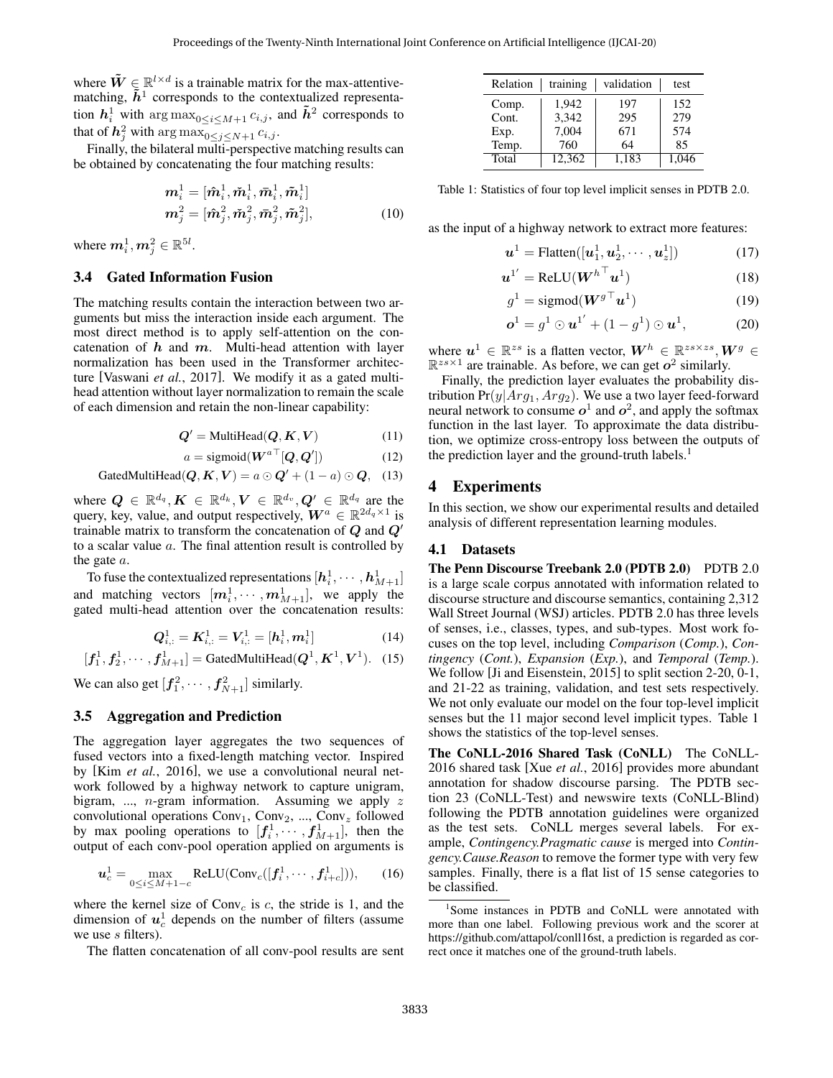where  $\tilde{W} \in \mathbb{R}^{l \times d}$  is a trainable matrix for the max-attentivematching,  $\tilde{h}^1$  corresponds to the contextualized representation  $h_i^1$  with  $\arg \max_{0 \le i \le M+1} c_{i,j}$ , and  $\tilde{h}^2$  corresponds to that of  $h_j^2$  with  $\argmax_{0 \leq j \leq N+1} c_{i,j}$ .

Finally, the bilateral multi-perspective matching results can be obtained by concatenating the four matching results:

$$
\mathbf{m}_{i}^{1} = [\hat{\mathbf{m}}_{i}^{1}, \check{\mathbf{m}}_{i}^{1}, \bar{\mathbf{m}}_{i}^{1}, \tilde{\mathbf{m}}_{i}^{1}]
$$

$$
\mathbf{m}_{j}^{2} = [\hat{\mathbf{m}}_{j}^{2}, \check{\mathbf{m}}_{j}^{2}, \bar{\mathbf{m}}_{j}^{2}, \tilde{\mathbf{m}}_{j}^{2}],
$$
(10)

where  $\boldsymbol{m}_i^1, \boldsymbol{m}_j^2 \in \mathbb{R}^{5l}$ .

### 3.4 Gated Information Fusion

The matching results contain the interaction between two arguments but miss the interaction inside each argument. The most direct method is to apply self-attention on the concatenation of  $h$  and  $m$ . Multi-head attention with layer normalization has been used in the Transformer architecture [\[Vaswani](#page-6-28) *et al.*, 2017]. We modify it as a gated multihead attention without layer normalization to remain the scale of each dimension and retain the non-linear capability:

$$
Q' = \text{MultiHead}(Q, K, V) \tag{11}
$$

$$
a = \text{sigmoid}(\boldsymbol{W}^{a \top}[\boldsymbol{Q}, \boldsymbol{Q}']) \tag{12}
$$

$$
GatedMultiHead(Q, K, V) = a \odot Q' + (1 - a) \odot Q, \quad (13)
$$

where  $\bm{Q} \, \in \, \mathbb{R}^{d_q}, \bm{K} \, \in \, \mathbb{R}^{d_k}, \bm{V} \, \in \, \mathbb{R}^{d_v}, \bm{Q}' \, \in \, \mathbb{R}^{d_q}$  are the query, key, value, and output respectively,  $W^a \in \mathbb{R}^{2d_q \times 1}$  is trainable matrix to transform the concatenation of  $Q$  and  $Q'$ to a scalar value a. The final attention result is controlled by the gate a.

To fuse the contextualized representations  $[\bm{h}_i^1,\cdots,\bm{h}_{M+1}^1]$ and matching vectors  $[m^1_i, \cdots, m^1_{M+1}],$  we apply the gated multi-head attention over the concatenation results:

$$
Q_{i,:}^1 = K_{i,:}^1 = V_{i,:}^1 = [h_i^1, m_i^1]
$$
 (14)

$$
[f_1^1, f_2^1, \cdots, f_{M+1}^1] = \text{GatedMultiHead}(Q^1, K^1, V^1).
$$
 (15)

We can also get  $[f_1^2, \cdots, f_{N+1}^2]$  similarly.

### 3.5 Aggregation and Prediction

The aggregation layer aggregates the two sequences of fused vectors into a fixed-length matching vector. Inspired by [Kim *et al.*[, 2016\]](#page-6-29), we use a convolutional neural network followed by a highway network to capture unigram, bigram, ..., *n*-gram information. Assuming we apply  $z$ convolutional operations  $Conv_1$ ,  $Conv_2$ , ...,  $Conv_z$  followed by max pooling operations to  $[f_1^1, \cdots, f_{M+1}^1]$ , then the output of each conv-pool operation applied on arguments is

$$
\boldsymbol{u}_c^1 = \max_{0 \le i \le M+1-c} \text{ReLU}(\text{Conv}_c([f_i^1, \cdots, f_{i+c}^1])),\qquad(16)
$$

where the kernel size of  $Conv_c$  is c, the stride is 1, and the dimension of  $u_c^1$  depends on the number of filters (assume we use s filters).

The flatten concatenation of all conv-pool results are sent

<span id="page-3-1"></span>

| Relation | training | validation | test  |
|----------|----------|------------|-------|
| Comp.    | 1.942    | 197        | 152   |
| Cont.    | 3,342    | 295        | 279   |
| Exp.     | 7,004    | 671        | 574   |
| Temp.    | 760      | 64         | 85    |
| Total    | 12.362   | 1.183      | 1.046 |

Table 1: Statistics of four top level implicit senses in PDTB 2.0.

as the input of a highway network to extract more features:

$$
\boldsymbol{u}^1 = \text{Flatten}([\boldsymbol{u}_1^1, \boldsymbol{u}_2^1, \cdots, \boldsymbol{u}_z^1]) \tag{17}
$$

$$
\boldsymbol{u}^{1'} = \text{ReLU}(\boldsymbol{W}^{h}^\top \boldsymbol{u}^1) \tag{18}
$$

$$
g^1 = \text{sigmoid}(\boldsymbol{W}^{g\top}\boldsymbol{u}^1) \tag{19}
$$

$$
\boldsymbol{o}^1 = g^1 \odot \boldsymbol{u}^{1'} + (1 - g^1) \odot \boldsymbol{u}^1, \tag{20}
$$

where  $u^1 \in \mathbb{R}^{zs}$  is a flatten vector,  $W^h \in \mathbb{R}^{zs \times zs}$ ,  $W^g \in$  $\mathbb{R}^{zs \times 1}$  are trainable. As before, we can get  $o^2$  similarly.

Finally, the prediction layer evaluates the probability distribution  $Pr(y|Arg_1, Arg_2)$ . We use a two layer feed-forward neural network to consume  $o^1$  and  $o^2$ , and apply the softmax function in the last layer. To approximate the data distribution, we optimize cross-entropy loss between the outputs of the prediction layer and the ground-truth labels.<sup>[1](#page-3-0)</sup>

# 4 Experiments

In this section, we show our experimental results and detailed analysis of different representation learning modules.

#### 4.1 Datasets

The Penn Discourse Treebank 2.0 (PDTB 2.0) PDTB 2.0 is a large scale corpus annotated with information related to discourse structure and discourse semantics, containing 2,312 Wall Street Journal (WSJ) articles. PDTB 2.0 has three levels of senses, i.e., classes, types, and sub-types. Most work focuses on the top level, including *Comparison* (*Comp.*), *Contingency* (*Cont.*), *Expansion* (*Exp.*), and *Temporal* (*Temp.*). We follow [\[Ji and Eisenstein, 2015\]](#page-6-22) to split section 2-20, 0-1, and 21-22 as training, validation, and test sets respectively. We not only evaluate our model on the four top-level implicit senses but the 11 major second level implicit types. Table [1](#page-3-1) shows the statistics of the top-level senses.

The CoNLL-2016 Shared Task (CoNLL) The CoNLL-2016 shared task [Xue *et al.*[, 2016\]](#page-6-5) provides more abundant annotation for shadow discourse parsing. The PDTB section 23 (CoNLL-Test) and newswire texts (CoNLL-Blind) following the PDTB annotation guidelines were organized as the test sets. CoNLL merges several labels. For example, *Contingency.Pragmatic cause* is merged into *Contingency.Cause.Reason* to remove the former type with very few samples. Finally, there is a flat list of 15 sense categories to be classified.

<span id="page-3-0"></span><sup>&</sup>lt;sup>1</sup>Some instances in PDTB and CoNLL were annotated with more than one label. Following previous work and the scorer at [https://github.com/attapol/conll16st,](https://github.com/attapol/conll16st) a prediction is regarded as correct once it matches one of the ground-truth labels.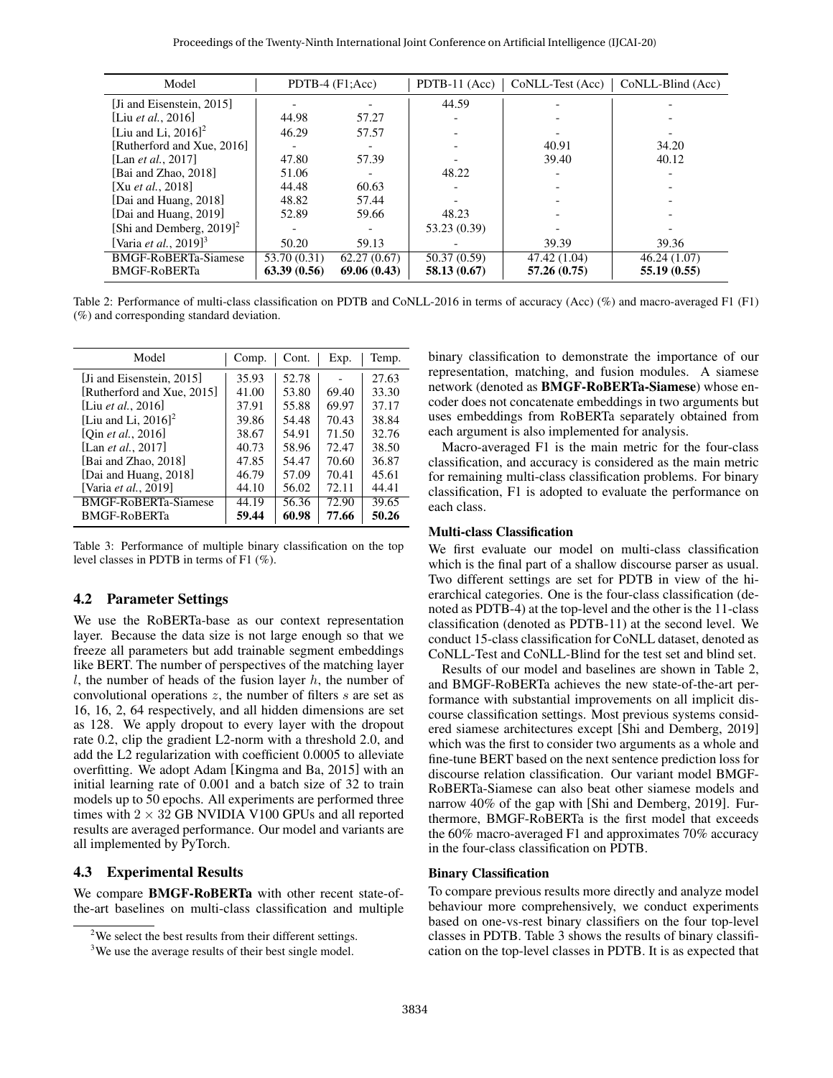<span id="page-4-0"></span>

| Model                                     |              | PDTB-4 $(F1;Acc)$ | $PDTB-11 (Acc)$ |              | $CoNLL-Test (Acc)$ $CoNLL-Blind (Acc)$ |
|-------------------------------------------|--------------|-------------------|-----------------|--------------|----------------------------------------|
| [Ji and Eisenstein, 2015]                 |              |                   | 44.59           |              |                                        |
| [Liu <i>et al.</i> , 2016]                | 44.98        | 57.27             |                 |              |                                        |
| [Liu and Li. $2016$ ] <sup>2</sup>        | 46.29        | 57.57             |                 |              |                                        |
| [Rutherford and Xue, 2016]                |              |                   |                 | 40.91        | 34.20                                  |
| [Lan <i>et al.</i> , 2017]                | 47.80        | 57.39             |                 | 39.40        | 40.12                                  |
| [Bai and Zhao, 2018]                      | 51.06        |                   | 48.22           |              |                                        |
| [Xu <i>et al.</i> , 2018]                 | 44.48        | 60.63             |                 |              |                                        |
| [Dai and Huang, 2018]                     | 48.82        | 57.44             |                 |              |                                        |
| [Dai and Huang, 2019]                     | 52.89        | 59.66             | 48.23           |              |                                        |
| [Shi and Demberg, $2019$ ] <sup>2</sup>   |              |                   | 53.23 (0.39)    |              |                                        |
| [Varia <i>et al.</i> , 2019] <sup>3</sup> | 50.20        | 59.13             |                 | 39.39        | 39.36                                  |
| BMGF-RoBERTa-Siamese                      | 53.70 (0.31) | 62.27(0.67)       | 50.37 (0.59)    | 47.42 (1.04) | 46.24 (1.07)                           |
| <b>BMGF-RoBERTa</b>                       | 63.39(0.56)  | 69.06(0.43)       | 58.13 (0.67)    | 57.26(0.75)  | 55.19 (0.55)                           |

Table 2: Performance of multi-class classification on PDTB and CoNLL-2016 in terms of accuracy (Acc) (%) and macro-averaged F1 (F1) (%) and corresponding standard deviation.

<span id="page-4-1"></span>

| Model                              | Comp. | Cont. | Exp.  | Temp. |
|------------------------------------|-------|-------|-------|-------|
| [Ji and Eisenstein, 2015]          | 35.93 | 52.78 |       | 27.63 |
| [Rutherford and Xue, 2015]         | 41.00 | 53.80 | 69.40 | 33.30 |
| [Liu <i>et al.</i> , 2016]         | 37.91 | 55.88 | 69.97 | 37.17 |
| [Liu and Li, $2016$ ] <sup>2</sup> | 39.86 | 54.48 | 70.43 | 38.84 |
| [Oin <i>et al.</i> , 2016]         | 38.67 | 54.91 | 71.50 | 32.76 |
| [Lan et al., 2017]                 | 40.73 | 58.96 | 72.47 | 38.50 |
| [Bai and Zhao, 2018]               | 47.85 | 54.47 | 70.60 | 36.87 |
| [Dai and Huang, 2018]              | 46.79 | 57.09 | 70.41 | 45.61 |
| [Varia et al., 2019]               | 44.10 | 56.02 | 72.11 | 44.41 |
| <b>BMGF-RoBERTa-Siamese</b>        | 44.19 | 56.36 | 72.90 | 39.65 |
| <b>BMGF-RoBERTa</b>                | 59.44 | 60.98 | 77.66 | 50.26 |

Table 3: Performance of multiple binary classification on the top level classes in PDTB in terms of F1 (%).

### 4.2 Parameter Settings

We use the RoBERTa-base as our context representation layer. Because the data size is not large enough so that we freeze all parameters but add trainable segment embeddings like BERT. The number of perspectives of the matching layer  $l$ , the number of heads of the fusion layer  $h$ , the number of convolutional operations  $z$ , the number of filters  $s$  are set as 16, 16, 2, 64 respectively, and all hidden dimensions are set as 128. We apply dropout to every layer with the dropout rate 0.2, clip the gradient L2-norm with a threshold 2.0, and add the L2 regularization with coefficient 0.0005 to alleviate overfitting. We adopt Adam [\[Kingma and Ba, 2015\]](#page-6-32) with an initial learning rate of 0.001 and a batch size of 32 to train models up to 50 epochs. All experiments are performed three times with  $2 \times 32$  GB NVIDIA V100 GPUs and all reported results are averaged performance. Our model and variants are all implemented by PyTorch.

# 4.3 Experimental Results

We compare BMGF-RoBERTa with other recent state-ofthe-art baselines on multi-class classification and multiple binary classification to demonstrate the importance of our representation, matching, and fusion modules. A siamese network (denoted as BMGF-RoBERTa-Siamese) whose encoder does not concatenate embeddings in two arguments but uses embeddings from RoBERTa separately obtained from each argument is also implemented for analysis.

Macro-averaged F1 is the main metric for the four-class classification, and accuracy is considered as the main metric for remaining multi-class classification problems. For binary classification, F1 is adopted to evaluate the performance on each class.

#### Multi-class Classification

We first evaluate our model on multi-class classification which is the final part of a shallow discourse parser as usual. Two different settings are set for PDTB in view of the hierarchical categories. One is the four-class classification (denoted as PDTB-4) at the top-level and the other is the 11-class classification (denoted as PDTB-11) at the second level. We conduct 15-class classification for CoNLL dataset, denoted as CoNLL-Test and CoNLL-Blind for the test set and blind set.

Results of our model and baselines are shown in Table [2,](#page-4-0) and BMGF-RoBERTa achieves the new state-of-the-art performance with substantial improvements on all implicit discourse classification settings. Most previous systems considered siamese architectures except [\[Shi and Demberg, 2019\]](#page-6-18) which was the first to consider two arguments as a whole and fine-tune BERT based on the next sentence prediction loss for discourse relation classification. Our variant model BMGF-RoBERTa-Siamese can also beat other siamese models and narrow 40% of the gap with [\[Shi and Demberg, 2019\]](#page-6-18). Furthermore, BMGF-RoBERTa is the first model that exceeds the 60% macro-averaged F1 and approximates 70% accuracy in the four-class classification on PDTB.

#### Binary Classification

To compare previous results more directly and analyze model behaviour more comprehensively, we conduct experiments based on one-vs-rest binary classifiers on the four top-level classes in PDTB. Table [3](#page-4-1) shows the results of binary classification on the top-level classes in PDTB. It is as expected that

<sup>&</sup>lt;sup>2</sup>We select the best results from their different settings.

<sup>&</sup>lt;sup>3</sup>We use the average results of their best single model.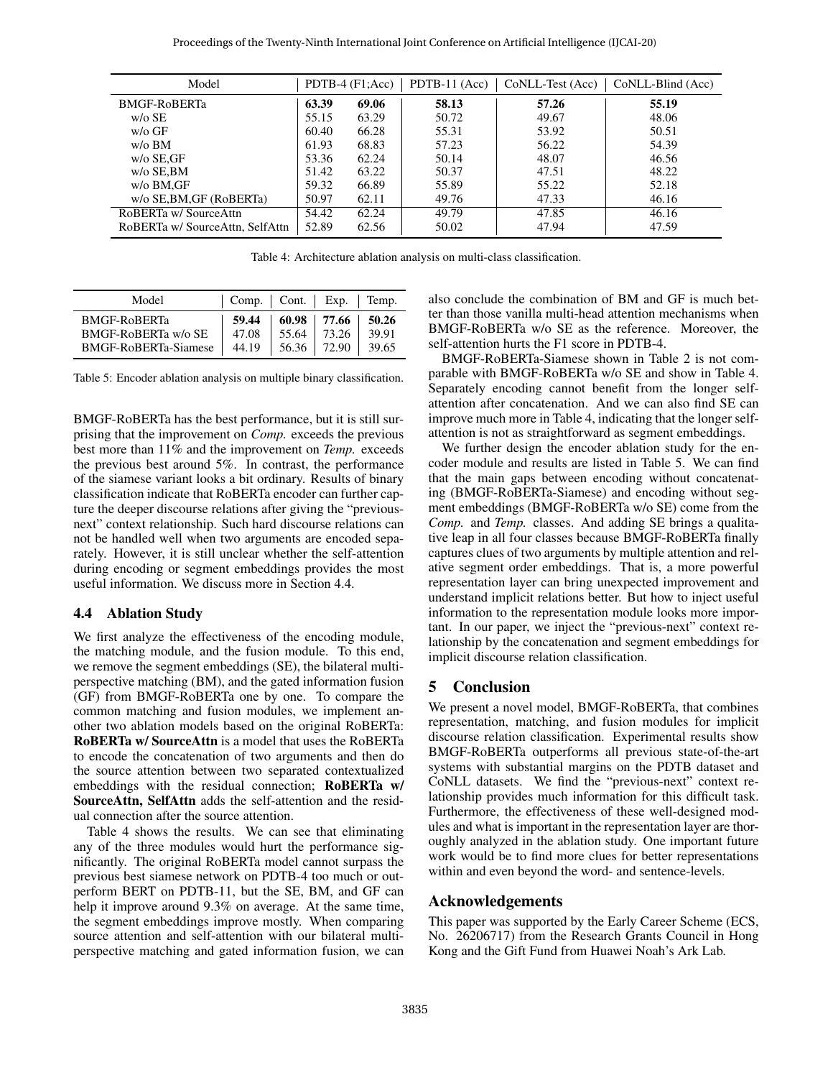<span id="page-5-1"></span>

| Model                           |       | PDTB-4 $(F1;Acc)$ | $PDTB-11 (Acc)$ | CoNLL-Test (Acc) | CoNLL-Blind (Acc) |
|---------------------------------|-------|-------------------|-----------------|------------------|-------------------|
| <b>BMGF-RoBERTa</b>             | 63.39 | 69.06             | 58.13           | 57.26            | 55.19             |
| $w$ / $\circ$ SE                | 55.15 | 63.29             | 50.72           | 49.67            | 48.06             |
| $w$ / $\alpha$ GF               | 60.40 | 66.28             | 55.31           | 53.92            | 50.51             |
| $w$ / $\circ$ BM                | 61.93 | 68.83             | 57.23           | 56.22            | 54.39             |
| $w/o$ SE.GF                     | 53.36 | 62.24             | 50.14           | 48.07            | 46.56             |
| $w$ /o SE.BM                    | 51.42 | 63.22             | 50.37           | 47.51            | 48.22             |
| w/o BM,GF                       | 59.32 | 66.89             | 55.89           | 55.22            | 52.18             |
| w/o SE, BM, GF (RoBERTa)        | 50.97 | 62.11             | 49.76           | 47.33            | 46.16             |
| RoBERTa w/SourceAttn            | 54.42 | 62.24             | 49.79           | 47.85            | 46.16             |
| RoBERTa w/ SourceAttn, SelfAttn | 52.89 | 62.56             | 50.02           | 47.94            | 47.59             |

Table 4: Architecture ablation analysis on multi-class classification.

<span id="page-5-2"></span>

| Model                      | Comp.   Cont.   Exp.   Temp. |       |                 |       |
|----------------------------|------------------------------|-------|-----------------|-------|
| <b>BMGF-RoBERTa</b>        | 59.44                        | 55.64 | $60.98$   77.66 | 50.26 |
| <b>BMGF-RoBERTa w/o SE</b> | 47.08                        |       | 73.26           | 39.91 |
| BMGF-RoBERTa-Siamese       | 44.19                        |       | 56.36   72.90   | 39.65 |

Table 5: Encoder ablation analysis on multiple binary classification.

BMGF-RoBERTa has the best performance, but it is still surprising that the improvement on *Comp.* exceeds the previous best more than 11% and the improvement on *Temp.* exceeds the previous best around 5%. In contrast, the performance of the siamese variant looks a bit ordinary. Results of binary classification indicate that RoBERTa encoder can further capture the deeper discourse relations after giving the "previousnext" context relationship. Such hard discourse relations can not be handled well when two arguments are encoded separately. However, it is still unclear whether the self-attention during encoding or segment embeddings provides the most useful information. We discuss more in Section [4.4.](#page-5-0)

### <span id="page-5-0"></span>4.4 Ablation Study

We first analyze the effectiveness of the encoding module, the matching module, and the fusion module. To this end, we remove the segment embeddings (SE), the bilateral multiperspective matching (BM), and the gated information fusion (GF) from BMGF-RoBERTa one by one. To compare the common matching and fusion modules, we implement another two ablation models based on the original RoBERTa: RoBERTa w/ SourceAttn is a model that uses the RoBERTa to encode the concatenation of two arguments and then do the source attention between two separated contextualized embeddings with the residual connection; RoBERTa w/ SourceAttn, SelfAttn adds the self-attention and the residual connection after the source attention.

Table [4](#page-5-1) shows the results. We can see that eliminating any of the three modules would hurt the performance significantly. The original RoBERTa model cannot surpass the previous best siamese network on PDTB-4 too much or outperform BERT on PDTB-11, but the SE, BM, and GF can help it improve around 9.3% on average. At the same time, the segment embeddings improve mostly. When comparing source attention and self-attention with our bilateral multiperspective matching and gated information fusion, we can also conclude the combination of BM and GF is much better than those vanilla multi-head attention mechanisms when BMGF-RoBERTa w/o SE as the reference. Moreover, the self-attention hurts the F1 score in PDTB-4.

BMGF-RoBERTa-Siamese shown in Table [2](#page-4-0) is not comparable with BMGF-RoBERTa w/o SE and show in Table [4.](#page-5-1) Separately encoding cannot benefit from the longer selfattention after concatenation. And we can also find SE can improve much more in Table [4,](#page-5-1) indicating that the longer selfattention is not as straightforward as segment embeddings.

We further design the encoder ablation study for the encoder module and results are listed in Table [5.](#page-5-2) We can find that the main gaps between encoding without concatenating (BMGF-RoBERTa-Siamese) and encoding without segment embeddings (BMGF-RoBERTa w/o SE) come from the *Comp.* and *Temp.* classes. And adding SE brings a qualitative leap in all four classes because BMGF-RoBERTa finally captures clues of two arguments by multiple attention and relative segment order embeddings. That is, a more powerful representation layer can bring unexpected improvement and understand implicit relations better. But how to inject useful information to the representation module looks more important. In our paper, we inject the "previous-next" context relationship by the concatenation and segment embeddings for implicit discourse relation classification.

# 5 Conclusion

We present a novel model, BMGF-RoBERTa, that combines representation, matching, and fusion modules for implicit discourse relation classification. Experimental results show BMGF-RoBERTa outperforms all previous state-of-the-art systems with substantial margins on the PDTB dataset and CoNLL datasets. We find the "previous-next" context relationship provides much information for this difficult task. Furthermore, the effectiveness of these well-designed modules and what is important in the representation layer are thoroughly analyzed in the ablation study. One important future work would be to find more clues for better representations within and even beyond the word- and sentence-levels.

#### Acknowledgements

This paper was supported by the Early Career Scheme (ECS, No. 26206717) from the Research Grants Council in Hong Kong and the Gift Fund from Huawei Noah's Ark Lab.